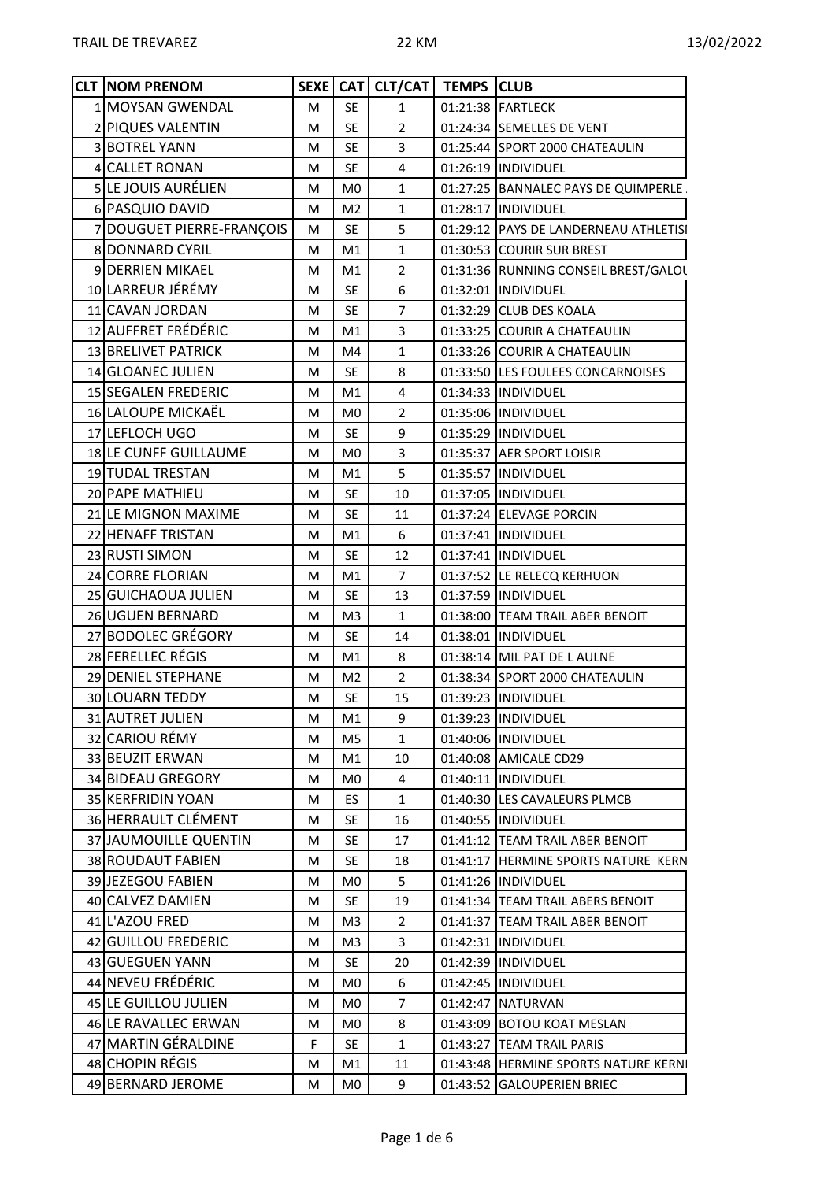| <b>CLT INOM PRENOM</b>               |   |                | SEXE   CAT   CLT/CAT   TEMPS   CLUB |                                       |  |
|--------------------------------------|---|----------------|-------------------------------------|---------------------------------------|--|
| 1 MOYSAN GWENDAL                     | M | <b>SE</b>      | $\mathbf{1}$                        | 01:21:38 FARTLECK                     |  |
| 2 PIQUES VALENTIN                    | М | <b>SE</b>      | $\overline{2}$                      | 01:24:34 SEMELLES DE VENT             |  |
| 3 BOTREL YANN                        | М | <b>SE</b>      | 3                                   | 01:25:44 SPORT 2000 CHATEAULIN        |  |
| 4 CALLET RONAN                       | м | <b>SE</b>      | 4                                   | 01:26:19  INDIVIDUEL                  |  |
| 5 LE JOUIS AURÉLIEN                  | М | M <sub>0</sub> | 1                                   | 01:27:25 BANNALEC PAYS DE QUIMPERLE.  |  |
| 6 PASQUIO DAVID                      | м | M <sub>2</sub> | 1                                   | 01:28:17  INDIVIDUEL                  |  |
| 7 DOUGUET PIERRE-FRANÇOIS            | M | <b>SE</b>      | 5                                   | 01:29:12 PAYS DE LANDERNEAU ATHLETISI |  |
| 8 DONNARD CYRIL                      | М | M1             | 1                                   | 01:30:53 COURIR SUR BREST             |  |
| 9 DERRIEN MIKAEL                     | М | M1             | $\overline{2}$                      | 01:31:36 RUNNING CONSEIL BREST/GALOL  |  |
| 10 LARREUR JÉRÉMY                    | М | <b>SE</b>      | 6                                   | 01:32:01  INDIVIDUEL                  |  |
| 11 CAVAN JORDAN                      | м | <b>SE</b>      | $\overline{7}$                      | 01:32:29 CLUB DES KOALA               |  |
| 12 AUFFRET FRÉDÉRIC                  | м | M1             | 3                                   | 01:33:25 COURIR A CHATEAULIN          |  |
| 13 BRELIVET PATRICK                  | м | M4             | $\mathbf{1}$                        | 01:33:26 COURIR A CHATEAULIN          |  |
| 14 GLOANEC JULIEN                    | М | <b>SE</b>      | 8                                   | 01:33:50 LES FOULEES CONCARNOISES     |  |
| 15 SEGALEN FREDERIC                  | М | M1             | 4                                   | 01:34:33  INDIVIDUEL                  |  |
| 16 LALOUPE MICKAËL                   | м | M <sub>0</sub> | $\overline{2}$                      | 01:35:06  INDIVIDUEL                  |  |
| 17 LEFLOCH UGO                       | М | <b>SE</b>      | 9                                   | 01:35:29  INDIVIDUEL                  |  |
| 18 LE CUNFF GUILLAUME                | М | M <sub>0</sub> | 3                                   | 01:35:37 AER SPORT LOISIR             |  |
| 19 TUDAL TRESTAN                     | М | M1             | 5                                   | 01:35:57  INDIVIDUEL                  |  |
| 20 PAPE MATHIEU                      | М | <b>SE</b>      | 10                                  | 01:37:05  INDIVIDUEL                  |  |
| 21 LE MIGNON MAXIME                  | М | <b>SE</b>      | 11                                  | 01:37:24 ELEVAGE PORCIN               |  |
| 22 HENAFF TRISTAN                    | М | M1             | 6                                   | 01:37:41  INDIVIDUEL                  |  |
| 23 RUSTI SIMON                       | м | <b>SE</b>      | 12                                  | 01:37:41  INDIVIDUEL                  |  |
| 24 CORRE FLORIAN                     | M | M1             | $\overline{7}$                      | 01:37:52 LE RELECQ KERHUON            |  |
| 25 GUICHAOUA JULIEN                  | м | <b>SE</b>      | 13                                  | 01:37:59  INDIVIDUEL                  |  |
| 26 UGUEN BERNARD                     | М | M <sub>3</sub> | 1                                   | 01:38:00 TEAM TRAIL ABER BENOIT       |  |
| 27 BODOLEC GRÉGORY                   | М | <b>SE</b>      | 14                                  | 01:38:01  INDIVIDUEL                  |  |
| 28 FERELLEC RÉGIS                    | М | M1             | 8                                   | 01:38:14 MIL PAT DE L AULNE           |  |
| 29 DENIEL STEPHANE                   | М | M <sub>2</sub> | $\overline{2}$                      | 01:38:34 SPORT 2000 CHATEAULIN        |  |
| 30 LOUARN TEDDY                      | М | <b>SE</b>      | 15                                  | 01:39:23  INDIVIDUEL                  |  |
| 31 AUTRET JULIEN                     | М | M1             | 9                                   | 01:39:23  INDIVIDUEL                  |  |
| 32 CARIOU RÉMY                       | м | M <sub>5</sub> | $\mathbf{1}$                        | 01:40:06  INDIVIDUEL                  |  |
| 33 BEUZIT ERWAN                      | М | M1             | 10                                  | 01:40:08 AMICALE CD29                 |  |
| 34 BIDEAU GREGORY                    | М | M <sub>0</sub> | 4                                   | 01:40:11  INDIVIDUEL                  |  |
| 35 KERFRIDIN YOAN                    | м | ES.            | $\mathbf{1}$                        | 01:40:30 LES CAVALEURS PLMCB          |  |
| 36 HERRAULT CLÉMENT                  | М | SE             | 16                                  | 01:40:55  INDIVIDUEL                  |  |
| 37 JAUMOUILLE QUENTIN                | М | <b>SE</b>      | 17                                  | 01:41:12 TEAM TRAIL ABER BENOIT       |  |
| 38 ROUDAUT FABIEN                    | М | <b>SE</b>      | 18                                  | 01:41:17 HERMINE SPORTS NATURE KERN   |  |
| 39 JEZEGOU FABIEN                    | М | M <sub>0</sub> | 5                                   | 01:41:26  INDIVIDUEL                  |  |
| 40 CALVEZ DAMIEN                     | М | <b>SE</b>      | 19                                  | 01:41:34 TEAM TRAIL ABERS BENOIT      |  |
| 41 L'AZOU FRED                       | М | M <sub>3</sub> | $\overline{2}$                      | 01:41:37 TEAM TRAIL ABER BENOIT       |  |
| 42 GUILLOU FREDERIC                  | м | M <sub>3</sub> | 3                                   | 01:42:31  INDIVIDUEL                  |  |
|                                      |   |                |                                     |                                       |  |
| 43 GUEGUEN YANN<br>44 NEVEU FRÉDÉRIC | М | <b>SE</b>      | 20                                  | 01:42:39  INDIVIDUEL                  |  |
|                                      | М | M0             | 6                                   | 01:42:45  INDIVIDUEL                  |  |
| 45 LE GUILLOU JULIEN                 | М | M <sub>0</sub> | 7                                   | 01:42:47 NATURVAN                     |  |
| 46 LE RAVALLEC ERWAN                 | М | M <sub>0</sub> | 8                                   | 01:43:09 BOTOU KOAT MESLAN            |  |
| 47 MARTIN GÉRALDINE                  | F | <b>SE</b>      | $\mathbf{1}$                        | 01:43:27 TEAM TRAIL PARIS             |  |
| 48 CHOPIN RÉGIS                      | М | M1             | 11                                  | 01:43:48 HERMINE SPORTS NATURE KERNI  |  |
| 49 BERNARD JEROME                    | М | M <sub>0</sub> | 9                                   | 01:43:52 GALOUPERIEN BRIEC            |  |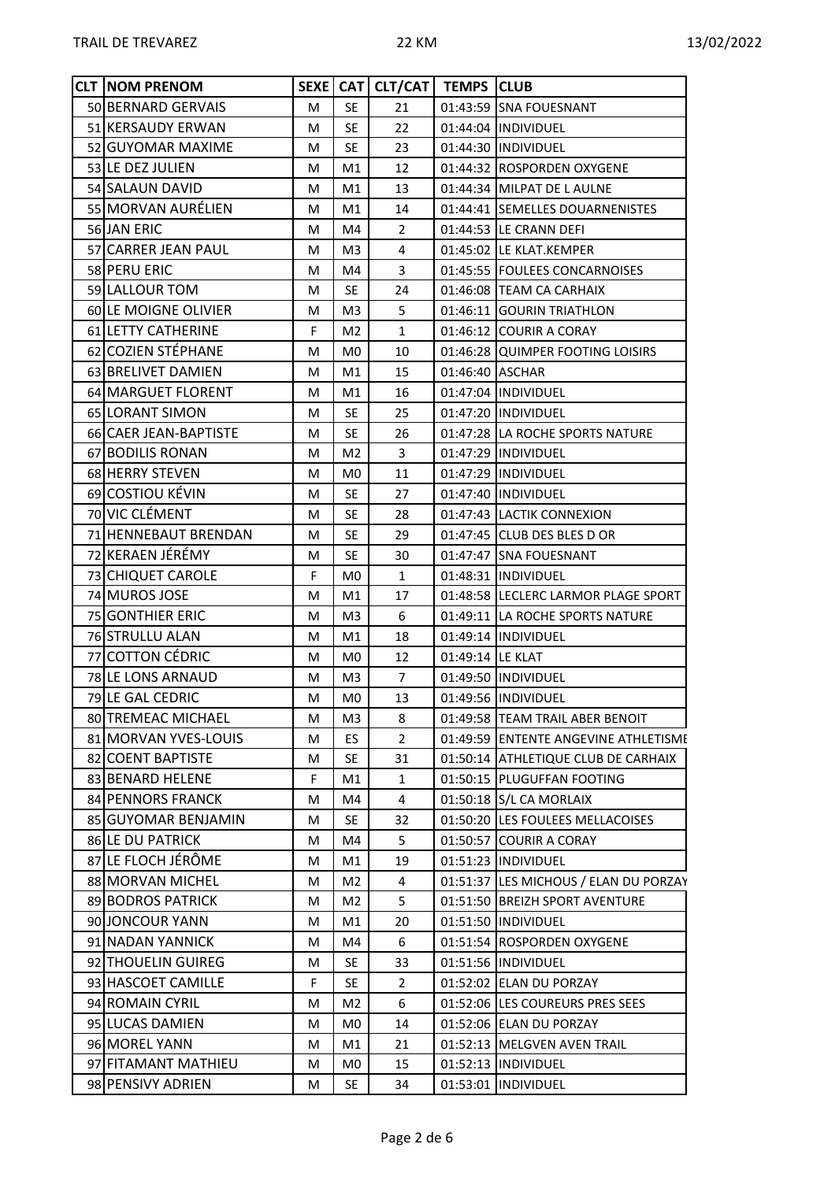| <b>CLT NOM PRENOM</b> |   |                | SEXE   CAT   CLT/CAT | <b>TEMPS CLUB</b> |                                       |
|-----------------------|---|----------------|----------------------|-------------------|---------------------------------------|
| 50 BERNARD GERVAIS    | M | <b>SE</b>      | 21                   |                   | 01:43:59 SNA FOUESNANT                |
| 51 KERSAUDY ERWAN     | М | <b>SE</b>      | 22                   |                   | 01:44:04 INDIVIDUEL                   |
| 52 GUYOMAR MAXIME     | M | <b>SE</b>      | 23                   |                   | 01:44:30  INDIVIDUEL                  |
| 53 LE DEZ JULIEN      | м | M1             | 12                   |                   | 01:44:32 ROSPORDEN OXYGENE            |
| 54 SALAUN DAVID       | м | M1             | 13                   |                   | 01:44:34 MILPAT DE L AULNE            |
| 55 MORVAN AURÉLIEN    | М | M1             | 14                   |                   | 01:44:41 SEMELLES DOUARNENISTES       |
| 56 JAN ERIC           | М | M4             | $\overline{2}$       |                   | 01:44:53  LE CRANN DEFI               |
| 57 CARRER JEAN PAUL   | M | M3             | 4                    |                   | 01:45:02 LE KLAT.KEMPER               |
| 58 PERU ERIC          | М | M4             | 3                    |                   | 01:45:55 FOULEES CONCARNOISES         |
| 59 LALLOUR TOM        | М | <b>SE</b>      | 24                   |                   | 01:46:08 TEAM CA CARHAIX              |
| 60 LE MOIGNE OLIVIER  | м | M <sub>3</sub> | 5                    |                   | 01:46:11 GOURIN TRIATHLON             |
| 61 LETTY CATHERINE    | F | M <sub>2</sub> | $\mathbf{1}$         |                   | 01:46:12 COURIR A CORAY               |
| 62 COZIEN STÉPHANE    | М | M <sub>0</sub> | 10                   |                   | 01:46:28 QUIMPER FOOTING LOISIRS      |
| 63 BRELIVET DAMIEN    | M | M1             | 15                   | 01:46:40 ASCHAR   |                                       |
| 64 MARGUET FLORENT    | M | M1             | 16                   |                   | 01:47:04  INDIVIDUEL                  |
| 65 LORANT SIMON       | M | <b>SE</b>      | 25                   |                   | 01:47:20  INDIVIDUEL                  |
| 66 CAER JEAN-BAPTISTE | М | <b>SE</b>      | 26                   |                   | 01:47:28 LA ROCHE SPORTS NATURE       |
| 67 BODILIS RONAN      | м | M <sub>2</sub> | 3                    |                   | 01:47:29 INDIVIDUEL                   |
| 68 HERRY STEVEN       | М | M <sub>0</sub> | 11                   |                   | 01:47:29  INDIVIDUEL                  |
| 69 COSTIOU KÉVIN      | M | <b>SE</b>      | 27                   |                   | 01:47:40  INDIVIDUEL                  |
| 70 VIC CLÉMENT        | М | <b>SE</b>      | 28                   |                   | 01:47:43 LACTIK CONNEXION             |
| 71 HENNEBAUT BRENDAN  | M | <b>SE</b>      | 29                   |                   | 01:47:45 CLUB DES BLES D OR           |
| 72 KERAEN JÉRÉMY      | M | <b>SE</b>      | 30                   |                   | 01:47:47 SNA FOUESNANT                |
| 73 CHIQUET CAROLE     | F | M <sub>0</sub> | 1                    |                   | 01:48:31  INDIVIDUEL                  |
| 74 MUROS JOSE         | M | M1             | 17                   |                   | 01:48:58 LECLERC LARMOR PLAGE SPORT   |
| 75 GONTHIER ERIC      | М | M3             | 6                    |                   | 01:49:11   LA ROCHE SPORTS NATURE     |
| 76 STRULLU ALAN       | M | M1             | 18                   |                   | 01:49:14  INDIVIDUEL                  |
| 77 COTTON CÉDRIC      | М | M <sub>0</sub> | 12                   | 01:49:14 LE KLAT  |                                       |
| 78 LE LONS ARNAUD     | М | M3             | $\overline{7}$       |                   | 01:49:50  INDIVIDUEL                  |
| 79 LE GAL CEDRIC      | M | M <sub>0</sub> | 13                   |                   | 01:49:56  INDIVIDUEL                  |
| 80 TREMEAC MICHAEL    | M | M <sub>3</sub> | 8                    |                   | 01:49:58 TEAM TRAIL ABER BENOIT       |
| 81 MORVAN YVES-LOUIS  | M | ES             | $\overline{2}$       |                   | 01:49:59 ENTENTE ANGEVINE ATHLETISME  |
| 82 COENT BAPTISTE     | M | <b>SE</b>      | 31                   |                   | 01:50:14 ATHLETIQUE CLUB DE CARHAIX   |
| 83 BENARD HELENE      | F | M1             | $\mathbf{1}$         |                   | 01:50:15 PLUGUFFAN FOOTING            |
| 84 PENNORS FRANCK     | м | M4             | 4                    |                   | 01:50:18 S/L CA MORLAIX               |
| 85 GUYOMAR BENJAMIN   | М | <b>SE</b>      | 32                   |                   | 01:50:20 LES FOULEES MELLACOISES      |
| 86 LE DU PATRICK      | М | M4             | 5                    |                   | 01:50:57 COURIR A CORAY               |
| 87 LE FLOCH JÉRÔME    | М | M1             | 19                   |                   | 01:51:23  INDIVIDUEL                  |
| 88 MORVAN MICHEL      | M | M <sub>2</sub> | 4                    |                   | 01:51:37 LES MICHOUS / ELAN DU PORZAY |
| 89 BODROS PATRICK     | м | M2             | 5                    |                   | 01:51:50 BREIZH SPORT AVENTURE        |
| 90 JONCOUR YANN       | M | M1             | 20                   |                   | 01:51:50  INDIVIDUEL                  |
| 91 NADAN YANNICK      | м | M4             | 6                    |                   | 01:51:54 ROSPORDEN OXYGENE            |
| 92 THOUELIN GUIREG    | M | <b>SE</b>      | 33                   |                   | 01:51:56  INDIVIDUEL                  |
| 93 HASCOET CAMILLE    | F | <b>SE</b>      | $\overline{2}$       |                   | 01:52:02 ELAN DU PORZAY               |
| 94 ROMAIN CYRIL       | М | M2             | 6                    |                   | 01:52:06 LES COUREURS PRES SEES       |
| 95 LUCAS DAMIEN       | M | M <sub>0</sub> | 14                   |                   | 01:52:06 ELAN DU PORZAY               |
| 96 MOREL YANN         | М | M1             | 21                   |                   | 01:52:13 MELGVEN AVEN TRAIL           |
| 97 FITAMANT MATHIEU   | М | M <sub>0</sub> | 15                   |                   | 01:52:13  INDIVIDUEL                  |
| 98 PENSIVY ADRIEN     | M | <b>SE</b>      | 34                   |                   | 01:53:01  INDIVIDUEL                  |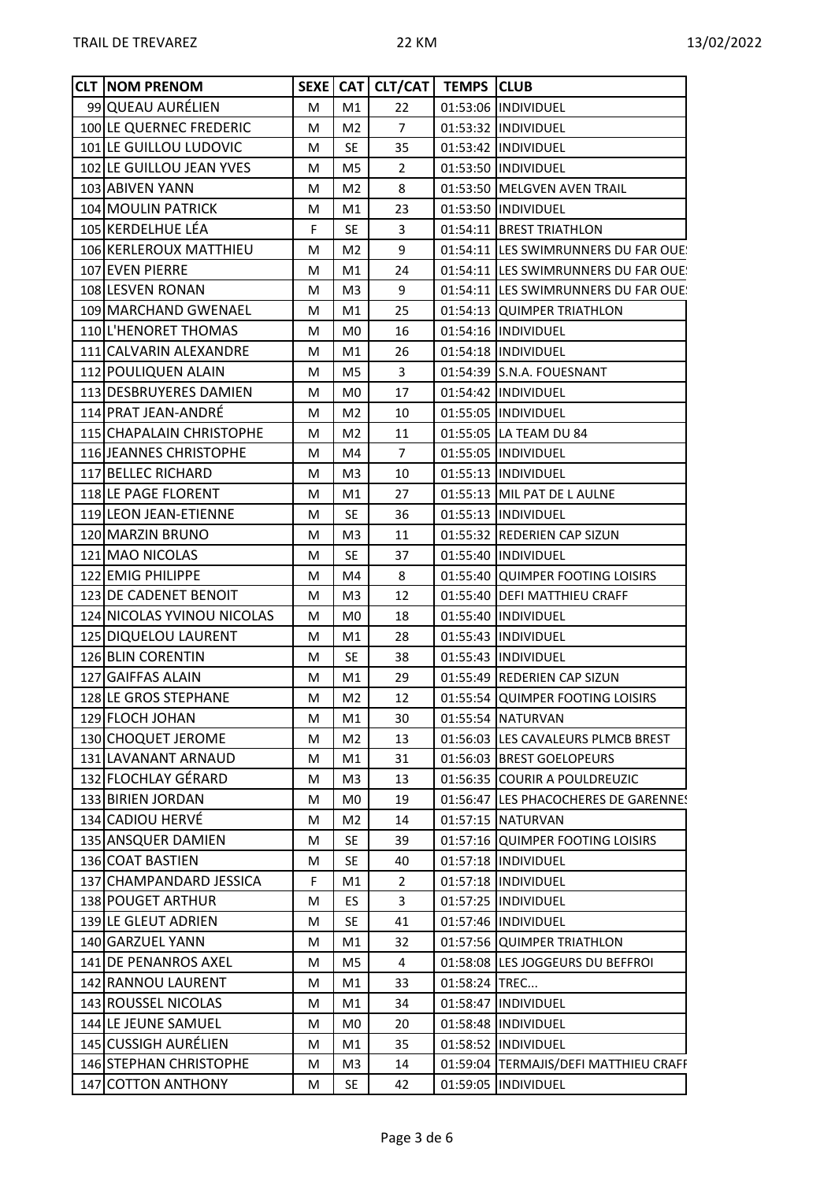| <b>CLT NOM PRENOM</b>      |   |                | SEXE CAT CLT/CAT   TEMPS CLUB |          |                                       |
|----------------------------|---|----------------|-------------------------------|----------|---------------------------------------|
| 99 QUEAU AURÉLIEN          | M | M1             | 22                            |          | 01:53:06  INDIVIDUEL                  |
| 100 LE QUERNEC FREDERIC    | M | M <sub>2</sub> | $\overline{7}$                |          | 01:53:32 INDIVIDUEL                   |
| 101 LE GUILLOU LUDOVIC     | М | <b>SE</b>      | 35                            |          | 01:53:42  INDIVIDUEL                  |
| 102 LE GUILLOU JEAN YVES   | M | M <sub>5</sub> | $\overline{2}$                |          | 01:53:50  INDIVIDUEL                  |
| 103 ABIVEN YANN            | М | M2             | 8                             |          | 01:53:50 MELGVEN AVEN TRAIL           |
| 104 MOULIN PATRICK         | М | M1             | 23                            |          | 01:53:50  INDIVIDUEL                  |
| 105 KERDELHUE LÉA          | F | SE             | 3                             |          | 01:54:11 BREST TRIATHLON              |
| 106 KERLEROUX MATTHIEU     | М | M2             | 9                             |          | 01:54:11 LES SWIMRUNNERS DU FAR OUE!  |
| 107 EVEN PIERRE            | M | M1             | 24                            |          | 01:54:11 ILES SWIMRUNNERS DU FAR OUE! |
| 108 LESVEN RONAN           | М | M3             | 9                             |          | 01:54:11 LES SWIMRUNNERS DU FAR OUE!  |
| 109 MARCHAND GWENAEL       | M | M1             | 25                            |          | 01:54:13 QUIMPER TRIATHLON            |
| 110 L'HENORET THOMAS       | М | M <sub>0</sub> | 16                            |          | 01:54:16 INDIVIDUEL                   |
| 111 CALVARIN ALEXANDRE     | M | M1             | 26                            |          | 01:54:18  INDIVIDUEL                  |
| 112 POULIQUEN ALAIN        | M | M <sub>5</sub> | 3                             |          | 01:54:39 S.N.A. FOUESNANT             |
| 113 DESBRUYERES DAMIEN     | M | M0             | 17                            |          | 01:54:42  INDIVIDUEL                  |
| 114 PRAT JEAN-ANDRÉ        | M | M <sub>2</sub> | 10                            |          | 01:55:05  INDIVIDUEL                  |
| 115 CHAPALAIN CHRISTOPHE   | М | M2             | 11                            |          | 01:55:05 LA TEAM DU 84                |
| 116 JEANNES CHRISTOPHE     | M | M4             | $\overline{7}$                |          | 01:55:05  INDIVIDUEL                  |
| 117 BELLEC RICHARD         | М | M3             | 10                            |          | 01:55:13 INDIVIDUEL                   |
| 118 LE PAGE FLORENT        | M | M1             | 27                            |          | 01:55:13 MIL PAT DE L AULNE           |
| 119 LEON JEAN-ETIENNE      | M | <b>SE</b>      | 36                            |          | 01:55:13 INDIVIDUEL                   |
| 120 MARZIN BRUNO           | М | M <sub>3</sub> | 11                            |          | 01:55:32 REDERIEN CAP SIZUN           |
| 121 MAO NICOLAS            | M | <b>SE</b>      | 37                            |          | 01:55:40  INDIVIDUEL                  |
| 122 EMIG PHILIPPE          | М | M4             | 8                             |          | 01:55:40 QUIMPER FOOTING LOISIRS      |
| 123 DE CADENET BENOIT      | M | M <sub>3</sub> | 12                            |          | 01:55:40   DEFI MATTHIEU CRAFF        |
| 124 NICOLAS YVINOU NICOLAS | M | M0.            | 18                            |          | 01:55:40 INDIVIDUEL                   |
| 125 DIQUELOU LAURENT       | M | M1             | 28                            |          | 01:55:43  INDIVIDUEL                  |
| 126 BLIN CORENTIN          | M | SE             | 38                            |          | 01:55:43  INDIVIDUEL                  |
| 127 GAIFFAS ALAIN          | М | M1             | 29                            |          | 01:55:49 REDERIEN CAP SIZUN           |
| 128 LE GROS STEPHANE       | М | M <sub>2</sub> | 12                            |          | 01:55:54 QUIMPER FOOTING LOISIRS      |
| 129 FLOCH JOHAN            | М | M1             | 30                            |          | 01:55:54 NATURVAN                     |
| 130 CHOQUET JEROME         | M | M <sub>2</sub> | 13                            |          | 01:56:03 LES CAVALEURS PLMCB BREST    |
| 131 LAVANANT ARNAUD        | M | M1             | 31                            |          | 01:56:03 BREST GOELOPEURS             |
| 132 FLOCHLAY GÉRARD        | M | M3             | 13                            | 01:56:35 | <b>COURIR A POULDREUZIC</b>           |
| 133 BIRIEN JORDAN          | M | M <sub>0</sub> | 19                            |          | 01:56:47 LES PHACOCHERES DE GARENNES  |
| 134 CADIOU HERVÉ           | M | M2             | 14                            |          | 01:57:15   NATURVAN                   |
| 135 ANSQUER DAMIEN         | M | SE             | 39                            |          | 01:57:16 QUIMPER FOOTING LOISIRS      |
| 136 COAT BASTIEN           | M | <b>SE</b>      | 40                            |          | 01:57:18  INDIVIDUEL                  |
| 137 CHAMPANDARD JESSICA    | F | M1             | $\overline{2}$                |          | 01:57:18  INDIVIDUEL                  |
| 138 POUGET ARTHUR          | M | ES.            | 3                             |          | 01:57:25  INDIVIDUEL                  |
| 139 LE GLEUT ADRIEN        | M | <b>SE</b>      | 41                            |          | 01:57:46  INDIVIDUEL                  |
| 140 GARZUEL YANN           | M | M1             | 32                            |          | 01:57:56 QUIMPER TRIATHLON            |
| 141 DE PENANROS AXEL       | M | M <sub>5</sub> | 4                             |          | 01:58:08 LES JOGGEURS DU BEFFROI      |
| 142 RANNOU LAURENT         | M | M1             | 33                            | 01:58:24 | TREC                                  |
| 143 ROUSSEL NICOLAS        | M | M1             | 34                            | 01:58:47 | INDIVIDUEL                            |
| 144 LE JEUNE SAMUEL        | M | M <sub>0</sub> | 20                            |          | 01:58:48  INDIVIDUEL                  |
| 145 CUSSIGH AURÉLIEN       | M | M1             | 35                            |          | 01:58:52  INDIVIDUEL                  |
| 146 STEPHAN CHRISTOPHE     | M | M <sub>3</sub> | 14                            | 01:59:04 | TERMAJIS/DEFI MATTHIEU CRAFF          |
| 147 COTTON ANTHONY         | М | <b>SE</b>      | 42                            |          | 01:59:05  INDIVIDUEL                  |
|                            |   |                |                               |          |                                       |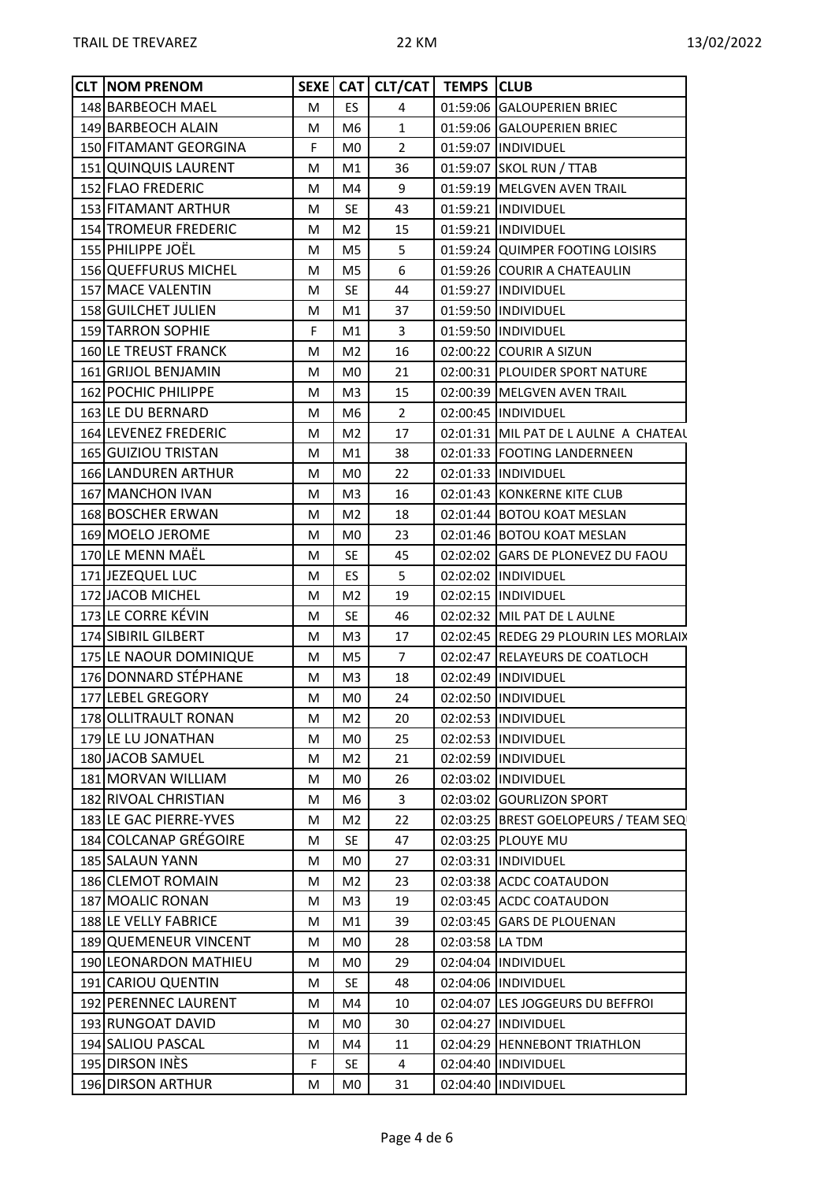| <b>CLT NOM PRENOM</b>      |   |                | SEXE CAT CLT/CAT   TEMPS CLUB |                 |                                       |  |
|----------------------------|---|----------------|-------------------------------|-----------------|---------------------------------------|--|
| 148 BARBEOCH MAEL          | M | ES.            | $\overline{4}$                |                 | 01:59:06 GALOUPERIEN BRIEC            |  |
| 149 BARBEOCH ALAIN         | M | M <sub>6</sub> | $\mathbf{1}$                  |                 | 01:59:06 GALOUPERIEN BRIEC            |  |
| 150 FITAMANT GEORGINA      | F | M <sub>0</sub> | $\overline{2}$                |                 | 01:59:07  INDIVIDUEL                  |  |
| 151 QUINQUIS LAURENT       | М | M1             | 36                            |                 | 01:59:07 SKOL RUN / TTAB              |  |
| 152 FLAO FREDERIC          | M | M4             | 9                             |                 | 01:59:19 MELGVEN AVEN TRAIL           |  |
| 153 FITAMANT ARTHUR        | М | <b>SE</b>      | 43                            |                 | 01:59:21 INDIVIDUEL                   |  |
| 154 TROMEUR FREDERIC       | М | M <sub>2</sub> | 15                            |                 | 01:59:21 INDIVIDUEL                   |  |
| 155 PHILIPPE JOËL          | M | M <sub>5</sub> | 5                             |                 | 01:59:24 QUIMPER FOOTING LOISIRS      |  |
| 156 QUEFFURUS MICHEL       | M | M5             | 6                             |                 | 01:59:26 COURIR A CHATEAULIN          |  |
| 157 MACE VALENTIN          | M | <b>SE</b>      | 44                            |                 | 01:59:27  INDIVIDUEL                  |  |
| 158 GUILCHET JULIEN        | M | M1             | 37                            |                 | 01:59:50 INDIVIDUEL                   |  |
| 159 TARRON SOPHIE          | F | M1             | 3                             |                 | 01:59:50 IINDIVIDUEL                  |  |
| 160 LE TREUST FRANCK       | M | M <sub>2</sub> | 16                            |                 | 02:00:22 COURIR A SIZUN               |  |
| 161 GRIJOL BENJAMIN        | M | M <sub>0</sub> | 21                            |                 | 02:00:31 PLOUIDER SPORT NATURE        |  |
| 162 POCHIC PHILIPPE        | M | M <sub>3</sub> | 15                            |                 | 02:00:39 MELGVEN AVEN TRAIL           |  |
| 163 LE DU BERNARD          | M | M <sub>6</sub> | $\overline{2}$                |                 | 02:00:45 INDIVIDUEL                   |  |
| 164 LEVENEZ FREDERIC       | M | M <sub>2</sub> | 17                            |                 | 02:01:31 MIL PAT DE L AULNE A CHATEAL |  |
| 165 GUIZIOU TRISTAN        | M | M1             | 38                            |                 | 02:01:33 FOOTING LANDERNEEN           |  |
| <b>166 LANDUREN ARTHUR</b> | M | M <sub>0</sub> | 22                            |                 | 02:01:33  INDIVIDUEL                  |  |
| 167 MANCHON IVAN           | M | M <sub>3</sub> | 16                            |                 | 02:01:43 KONKERNE KITE CLUB           |  |
| 168 BOSCHER ERWAN          | M | M <sub>2</sub> | 18                            |                 | 02:01:44 BOTOU KOAT MESLAN            |  |
| 169 MOELO JEROME           | M | M <sub>0</sub> | 23                            |                 | 02:01:46 BOTOU KOAT MESLAN            |  |
| 170 LE MENN MAËL           | M | <b>SE</b>      | 45                            |                 | 02:02:02 GARS DE PLONEVEZ DU FAOU     |  |
| 171 JEZEQUEL LUC           | М | ES.            | 5                             |                 | 02:02:02 INDIVIDUEL                   |  |
| 172 JACOB MICHEL           | M | M <sub>2</sub> | 19                            |                 | 02:02:15  INDIVIDUEL                  |  |
| 173 LE CORRE KÉVIN         | M | <b>SE</b>      | 46                            |                 | 02:02:32 MIL PAT DE L AULNE           |  |
| 174 SIBIRIL GILBERT        | M | M <sub>3</sub> | 17                            |                 | 02:02:45 REDEG 29 PLOURIN LES MORLAIX |  |
| 175 LE NAOUR DOMINIQUE     | M | M5             | $\overline{7}$                |                 | 02:02:47 RELAYEURS DE COATLOCH        |  |
| 176 DONNARD STÉPHANE       | M | M <sub>3</sub> | 18                            |                 | 02:02:49  INDIVIDUEL                  |  |
| 177 LEBEL GREGORY          | M | M0             | 24                            |                 | 02:02:50  INDIVIDUEL                  |  |
| 178 OLLITRAULT RONAN       | М | M2             | 20                            |                 | 02:02:53  INDIVIDUEL                  |  |
| 179 LE LU JONATHAN         | M | M <sub>0</sub> | 25                            |                 | 02:02:53  INDIVIDUEL                  |  |
| 180 JACOB SAMUEL           | M | M2             | 21                            |                 | 02:02:59  INDIVIDUEL                  |  |
| 181 MORVAN WILLIAM         | M | M <sub>0</sub> | 26                            |                 | 02:03:02  INDIVIDUEL                  |  |
| 182 RIVOAL CHRISTIAN       | M | M <sub>6</sub> | 3                             |                 | 02:03:02 GOURLIZON SPORT              |  |
| 183 LE GAC PIERRE-YVES     | M | M <sub>2</sub> | 22                            |                 | 02:03:25 BREST GOELOPEURS / TEAM SEQ  |  |
| 184 COLCANAP GRÉGOIRE      | M | <b>SE</b>      | 47                            |                 | 02:03:25 PLOUYE MU                    |  |
| 185 SALAUN YANN            | M | M <sub>0</sub> | 27                            |                 | 02:03:31  INDIVIDUEL                  |  |
| 186 CLEMOT ROMAIN          | M | M <sub>2</sub> | 23                            |                 | 02:03:38 ACDC COATAUDON               |  |
| 187 MOALIC RONAN           | M | M3             | 19                            |                 | 02:03:45 ACDC COATAUDON               |  |
| 188 LE VELLY FABRICE       | M | M1             | 39                            |                 | 02:03:45 GARS DE PLOUENAN             |  |
| 189 QUEMENEUR VINCENT      | M | M <sub>0</sub> | 28                            | 02:03:58 LA TDM |                                       |  |
| 190 LEONARDON MATHIEU      | M | M <sub>0</sub> | 29                            |                 | 02:04:04  INDIVIDUEL                  |  |
| 191 CARIOU QUENTIN         | M | <b>SE</b>      | 48                            |                 | 02:04:06  INDIVIDUEL                  |  |
| 192 PERENNEC LAURENT       | M | M4             | 10                            |                 | 02:04:07 LES JOGGEURS DU BEFFROI      |  |
| 193 RUNGOAT DAVID          | M | M <sub>0</sub> | 30                            |                 | 02:04:27  INDIVIDUEL                  |  |
| 194 SALIOU PASCAL          | M | M4             | 11                            |                 | 02:04:29 HENNEBONT TRIATHLON          |  |
| 195 DIRSON INES            | F | SE             | 4                             |                 | 02:04:40  INDIVIDUEL                  |  |
| 196 DIRSON ARTHUR          | M | M0             | 31                            |                 | 02:04:40  INDIVIDUEL                  |  |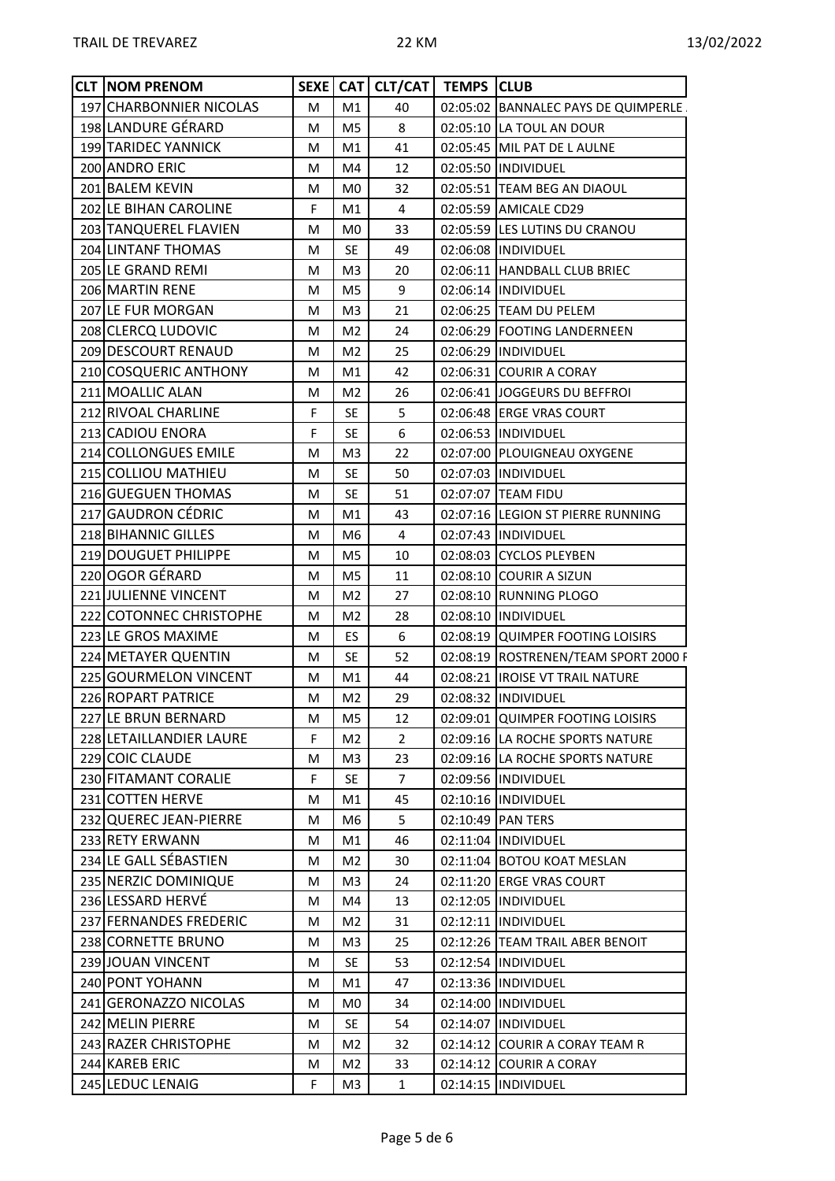| <b>CLT NOM PRENOM</b>   |   |                | SEXE CAT CLT/CAT   TEMPS CLUB |                                      |  |
|-------------------------|---|----------------|-------------------------------|--------------------------------------|--|
| 197 CHARBONNIER NICOLAS | M | M1             | 40                            | 02:05:02 BANNALEC PAYS DE QUIMPERLE. |  |
| 198 LANDURE GÉRARD      | М | M <sub>5</sub> | 8                             | 02:05:10 LA TOUL AN DOUR             |  |
| 199 TARIDEC YANNICK     | M | M1             | 41                            | 02:05:45 MIL PAT DE LAULNE           |  |
| 200 ANDRO ERIC          | М | M4             | 12                            | 02:05:50  INDIVIDUEL                 |  |
| 201 BALEM KEVIN         | M | M <sub>0</sub> | 32                            | 02:05:51 TEAM BEG AN DIAOUL          |  |
| 202 LE BIHAN CAROLINE   | F | M1             | 4                             | 02:05:59 AMICALE CD29                |  |
| 203 TANQUEREL FLAVIEN   | м | M <sub>0</sub> | 33                            | 02:05:59 LES LUTINS DU CRANOU        |  |
| 204 LINTANF THOMAS      | М | <b>SE</b>      | 49                            | 02:06:08 IINDIVIDUEL                 |  |
| 205 LE GRAND REMI       | м | M <sub>3</sub> | 20                            | 02:06:11  HANDBALL CLUB BRIEC        |  |
| 206 MARTIN RENE         | M | M <sub>5</sub> | 9                             | 02:06:14 INDIVIDUEL                  |  |
| 207 LE FUR MORGAN       | М | M <sub>3</sub> | 21                            | 02:06:25 TEAM DU PELEM               |  |
| 208 CLERCQ LUDOVIC      | М | M <sub>2</sub> | 24                            | 02:06:29 FOOTING LANDERNEEN          |  |
| 209 DESCOURT RENAUD     | M | M <sub>2</sub> | 25                            | 02:06:29 INDIVIDUEL                  |  |
| 210 COSQUERIC ANTHONY   | M | M1             | 42                            | 02:06:31 COURIR A CORAY              |  |
| 211 MOALLIC ALAN        | М | M <sub>2</sub> | 26                            | 02:06:41 JOGGEURS DU BEFFROI         |  |
| 212 RIVOAL CHARLINE     | F | <b>SE</b>      | 5                             | 02:06:48 ERGE VRAS COURT             |  |
| 213 CADIOU ENORA        | F | <b>SE</b>      | 6                             | 02:06:53  INDIVIDUEL                 |  |
| 214 COLLONGUES EMILE    | M | M <sub>3</sub> | 22                            | 02:07:00 PLOUIGNEAU OXYGENE          |  |
| 215 COLLIOU MATHIEU     | M | <b>SE</b>      | 50                            | 02:07:03  INDIVIDUEL                 |  |
| 216 GUEGUEN THOMAS      | M | <b>SE</b>      | 51                            | 02:07:07 TEAM FIDU                   |  |
| 217 GAUDRON CÉDRIC      | М | M1             | 43                            | 02:07:16 LEGION ST PIERRE RUNNING    |  |
| 218 BIHANNIC GILLES     | M | M <sub>6</sub> | 4                             | 02:07:43 INDIVIDUEL                  |  |
| 219 DOUGUET PHILIPPE    | М | M <sub>5</sub> | 10                            | 02:08:03 CYCLOS PLEYBEN              |  |
| 220 OGOR GÉRARD         | М | M <sub>5</sub> | 11                            | 02:08:10 COURIR A SIZUN              |  |
| 221 JULIENNE VINCENT    | M | M <sub>2</sub> | 27                            | 02:08:10 RUNNING PLOGO               |  |
| 222 COTONNEC CHRISTOPHE | М | M <sub>2</sub> | 28                            | 02:08:10 INDIVIDUEL                  |  |
| 223 LE GROS MAXIME      | M | ES             | 6                             | 02:08:19 QUIMPER FOOTING LOISIRS     |  |
| 224 METAYER QUENTIN     | М | <b>SE</b>      | 52                            | 02:08:19 ROSTRENEN/TEAM SPORT 2000 F |  |
| 225 GOURMELON VINCENT   | M | M1             | 44                            | 02:08:21  IROISE VT TRAIL NATURE     |  |
| 226 ROPART PATRICE      | M | M <sub>2</sub> | 29                            | 02:08:32  INDIVIDUEL                 |  |
| 227 LE BRUN BERNARD     | M | M5             | 12                            | 02:09:01 QUIMPER FOOTING LOISIRS     |  |
| 228 LETAILLANDIER LAURE | F | M <sub>2</sub> | $\overline{2}$                | 02:09:16 LA ROCHE SPORTS NATURE      |  |
| 229 COIC CLAUDE         | М | M <sub>3</sub> | 23                            | 02:09:16 LA ROCHE SPORTS NATURE      |  |
| 230 FITAMANT CORALIE    | F | <b>SE</b>      | 7                             | 02:09:56  INDIVIDUEL                 |  |
| 231 COTTEN HERVE        | M | M1             | 45                            | 02:10:16  INDIVIDUEL                 |  |
| 232 QUEREC JEAN-PIERRE  | М | M6             | 5                             | 02:10:49 PAN TERS                    |  |
| 233 RETY ERWANN         | М | M1             | 46                            | 02:11:04  INDIVIDUEL                 |  |
| 234 LE GALL SÉBASTIEN   | M | M <sub>2</sub> | 30                            | 02:11:04 BOTOU KOAT MESLAN           |  |
| 235 NERZIC DOMINIQUE    | М | M <sub>3</sub> | 24                            | 02:11:20 ERGE VRAS COURT             |  |
| 236 LESSARD HERVÉ       | M | M4             | 13                            | 02:12:05  INDIVIDUEL                 |  |
| 237 FERNANDES FREDERIC  | М | M <sub>2</sub> | 31                            | 02:12:11  INDIVIDUEL                 |  |
| 238 CORNETTE BRUNO      | M | M <sub>3</sub> | 25                            | 02:12:26 TEAM TRAIL ABER BENOIT      |  |
| 239 JOUAN VINCENT       | М | <b>SE</b>      | 53                            | 02:12:54 INDIVIDUEL                  |  |
| 240 PONT YOHANN         | M | M1             | 47                            | 02:13:36  INDIVIDUEL                 |  |
| 241 GERONAZZO NICOLAS   | М | M <sub>0</sub> | 34                            | 02:14:00  INDIVIDUEL                 |  |
| 242 MELIN PIERRE        | M | <b>SE</b>      | 54                            | 02:14:07  INDIVIDUEL                 |  |
| 243 RAZER CHRISTOPHE    | M | M <sub>2</sub> | 32                            | 02:14:12 COURIR A CORAY TEAM R       |  |
| 244 KAREB ERIC          | М | M <sub>2</sub> | 33                            | 02:14:12 COURIR A CORAY              |  |
| 245 LEDUC LENAIG        | F | M3             | $\mathbf{1}$                  | 02:14:15  INDIVIDUEL                 |  |
|                         |   |                |                               |                                      |  |